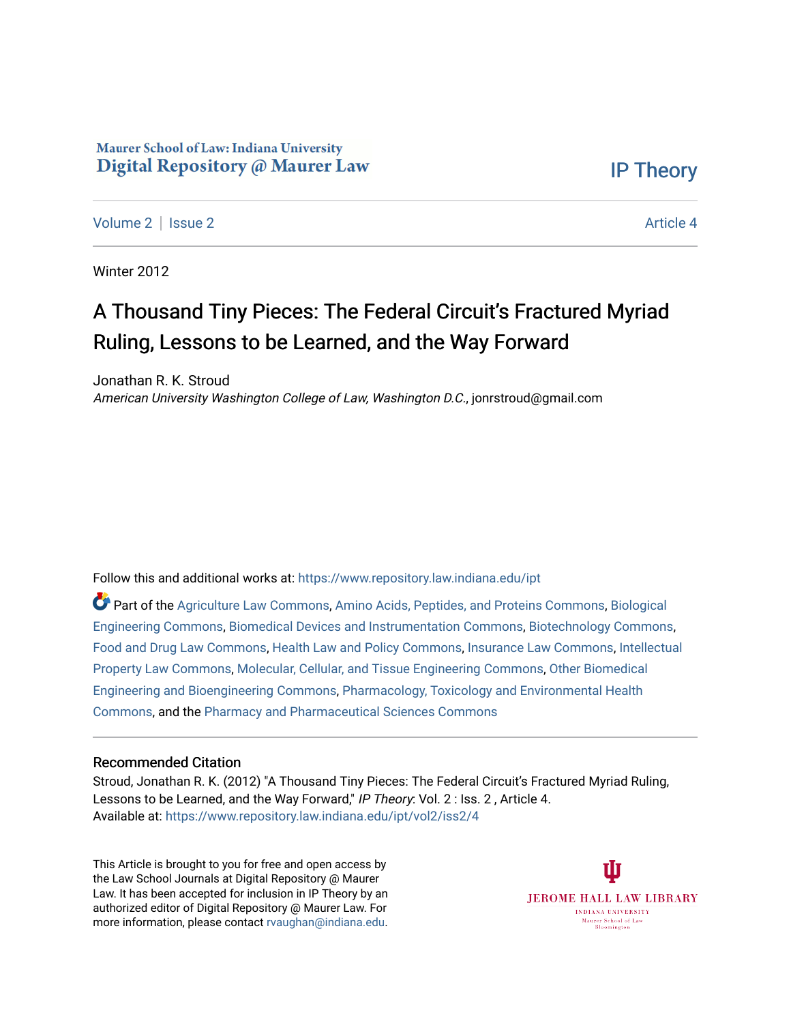### Maurer School of Law: Indiana University Digital Repository @ Maurer Law

[IP Theory](https://www.repository.law.indiana.edu/ipt) 

[Volume 2](https://www.repository.law.indiana.edu/ipt/vol2) | [Issue 2](https://www.repository.law.indiana.edu/ipt/vol2/iss2) Article 4

Winter 2012

# A Thousand Tiny Pieces: The Federal Circuit's Fractured Myriad Ruling, Lessons to be Learned, and the Way Forward

Jonathan R. K. Stroud American University Washington College of Law, Washington D.C., jonrstroud@gmail.com

Follow this and additional works at: [https://www.repository.law.indiana.edu/ipt](https://www.repository.law.indiana.edu/ipt?utm_source=www.repository.law.indiana.edu%2Fipt%2Fvol2%2Fiss2%2F4&utm_medium=PDF&utm_campaign=PDFCoverPages) 

Part of the [Agriculture Law Commons](http://network.bepress.com/hgg/discipline/581?utm_source=www.repository.law.indiana.edu%2Fipt%2Fvol2%2Fiss2%2F4&utm_medium=PDF&utm_campaign=PDFCoverPages), [Amino Acids, Peptides, and Proteins Commons](http://network.bepress.com/hgg/discipline/954?utm_source=www.repository.law.indiana.edu%2Fipt%2Fvol2%2Fiss2%2F4&utm_medium=PDF&utm_campaign=PDFCoverPages), [Biological](http://network.bepress.com/hgg/discipline/230?utm_source=www.repository.law.indiana.edu%2Fipt%2Fvol2%2Fiss2%2F4&utm_medium=PDF&utm_campaign=PDFCoverPages) [Engineering Commons,](http://network.bepress.com/hgg/discipline/230?utm_source=www.repository.law.indiana.edu%2Fipt%2Fvol2%2Fiss2%2F4&utm_medium=PDF&utm_campaign=PDFCoverPages) [Biomedical Devices and Instrumentation Commons](http://network.bepress.com/hgg/discipline/235?utm_source=www.repository.law.indiana.edu%2Fipt%2Fvol2%2Fiss2%2F4&utm_medium=PDF&utm_campaign=PDFCoverPages), [Biotechnology Commons](http://network.bepress.com/hgg/discipline/111?utm_source=www.repository.law.indiana.edu%2Fipt%2Fvol2%2Fiss2%2F4&utm_medium=PDF&utm_campaign=PDFCoverPages), [Food and Drug Law Commons](http://network.bepress.com/hgg/discipline/844?utm_source=www.repository.law.indiana.edu%2Fipt%2Fvol2%2Fiss2%2F4&utm_medium=PDF&utm_campaign=PDFCoverPages), [Health Law and Policy Commons,](http://network.bepress.com/hgg/discipline/901?utm_source=www.repository.law.indiana.edu%2Fipt%2Fvol2%2Fiss2%2F4&utm_medium=PDF&utm_campaign=PDFCoverPages) [Insurance Law Commons](http://network.bepress.com/hgg/discipline/607?utm_source=www.repository.law.indiana.edu%2Fipt%2Fvol2%2Fiss2%2F4&utm_medium=PDF&utm_campaign=PDFCoverPages), [Intellectual](http://network.bepress.com/hgg/discipline/896?utm_source=www.repository.law.indiana.edu%2Fipt%2Fvol2%2Fiss2%2F4&utm_medium=PDF&utm_campaign=PDFCoverPages) [Property Law Commons](http://network.bepress.com/hgg/discipline/896?utm_source=www.repository.law.indiana.edu%2Fipt%2Fvol2%2Fiss2%2F4&utm_medium=PDF&utm_campaign=PDFCoverPages), [Molecular, Cellular, and Tissue Engineering Commons,](http://network.bepress.com/hgg/discipline/236?utm_source=www.repository.law.indiana.edu%2Fipt%2Fvol2%2Fiss2%2F4&utm_medium=PDF&utm_campaign=PDFCoverPages) [Other Biomedical](http://network.bepress.com/hgg/discipline/239?utm_source=www.repository.law.indiana.edu%2Fipt%2Fvol2%2Fiss2%2F4&utm_medium=PDF&utm_campaign=PDFCoverPages)  [Engineering and Bioengineering Commons,](http://network.bepress.com/hgg/discipline/239?utm_source=www.repository.law.indiana.edu%2Fipt%2Fvol2%2Fiss2%2F4&utm_medium=PDF&utm_campaign=PDFCoverPages) [Pharmacology, Toxicology and Environmental Health](http://network.bepress.com/hgg/discipline/63?utm_source=www.repository.law.indiana.edu%2Fipt%2Fvol2%2Fiss2%2F4&utm_medium=PDF&utm_campaign=PDFCoverPages)  [Commons](http://network.bepress.com/hgg/discipline/63?utm_source=www.repository.law.indiana.edu%2Fipt%2Fvol2%2Fiss2%2F4&utm_medium=PDF&utm_campaign=PDFCoverPages), and the [Pharmacy and Pharmaceutical Sciences Commons](http://network.bepress.com/hgg/discipline/731?utm_source=www.repository.law.indiana.edu%2Fipt%2Fvol2%2Fiss2%2F4&utm_medium=PDF&utm_campaign=PDFCoverPages)

#### Recommended Citation

Stroud, Jonathan R. K. (2012) "A Thousand Tiny Pieces: The Federal Circuit's Fractured Myriad Ruling, Lessons to be Learned, and the Way Forward," IP Theory: Vol. 2 : Iss. 2, Article 4. Available at: [https://www.repository.law.indiana.edu/ipt/vol2/iss2/4](https://www.repository.law.indiana.edu/ipt/vol2/iss2/4?utm_source=www.repository.law.indiana.edu%2Fipt%2Fvol2%2Fiss2%2F4&utm_medium=PDF&utm_campaign=PDFCoverPages) 

This Article is brought to you for free and open access by the Law School Journals at Digital Repository @ Maurer Law. It has been accepted for inclusion in IP Theory by an authorized editor of Digital Repository @ Maurer Law. For more information, please contact [rvaughan@indiana.edu](mailto:rvaughan@indiana.edu).

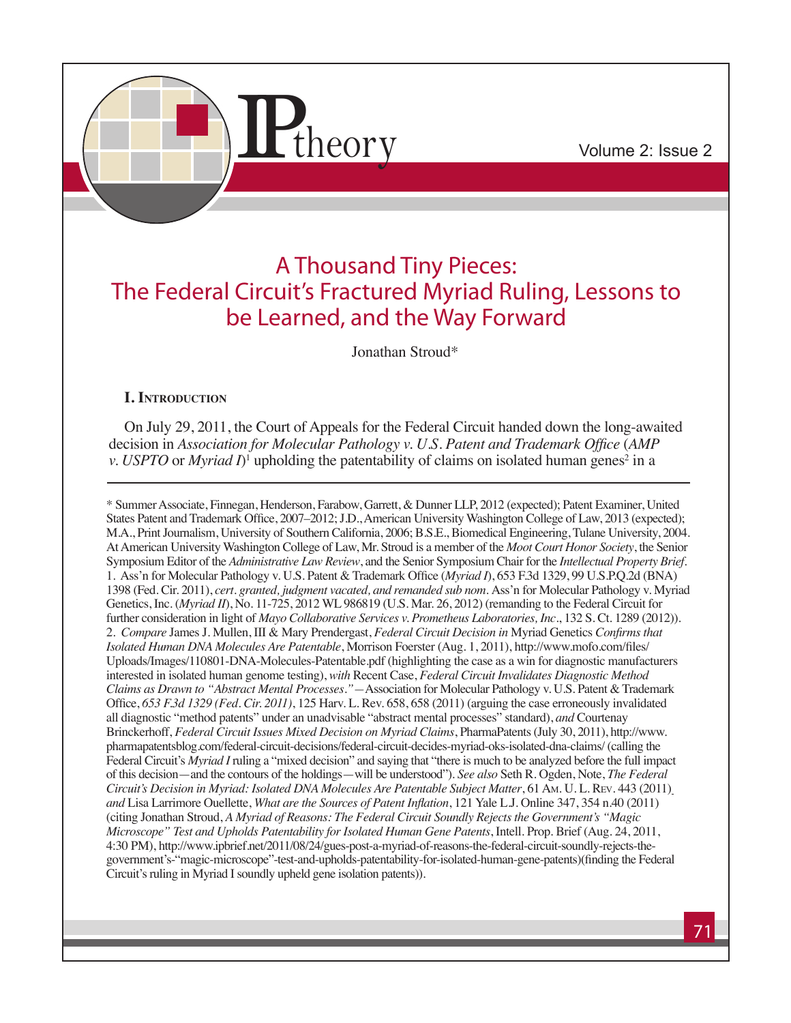

## A Thousand Tiny Pieces: The Federal Circuit's Fractured Myriad Ruling, Lessons to be Learned, and the Way Forward

Jonathan Stroud\*

## **I. Introduction**

On July 29, 2011, the Court of Appeals for the Federal Circuit handed down the long-awaited decision in *Association for Molecular Pathology v. U.S. Patent and Trademark Office* (*AMP v. USPTO* or *Myriad*  $I$ <sup>1</sup> upholding the patentability of claims on isolated human genes<sup>2</sup> in a

\* Summer Associate, Finnegan, Henderson, Farabow, Garrett, & Dunner LLP, 2012 (expected); Patent Examiner, United States Patent and Trademark Office, 2007–2012; J.D., American University Washington College of Law, 2013 (expected); M.A., Print Journalism, University of Southern California, 2006; B.S.E., Biomedical Engineering, Tulane University, 2004. At American University Washington College of Law, Mr. Stroud is a member of the *Moot Court Honor Society*, the Senior Symposium Editor of the *Administrative Law Review*, and the Senior Symposium Chair for the *Intellectual Property Brief*. 1. Ass'n for Molecular Pathology v. U.S. Patent & Trademark Office (*Myriad I*), 653 F.3d 1329, 99 U.S.P.Q.2d (BNA) 1398 (Fed. Cir. 2011), *cert. granted, judgment vacated, and remanded sub nom.* Ass'n for Molecular Pathology v. Myriad Genetics, Inc. (*Myriad II*), No. 11-725, 2012 WL 986819 (U.S. Mar. 26, 2012) (remanding to the Federal Circuit for further consideration in light of *Mayo Collaborative Services v. Prometheus Laboratories, Inc.*, 132 S. Ct. 1289 (2012)). 2. *Compare* James J. Mullen, III & Mary Prendergast, *Federal Circuit Decision in* Myriad Genetics *Confirms that Isolated Human DNA Molecules Are Patentable*, Morrison Foerster (Aug. 1, 2011), http://www.mofo.com/files/ Uploads/Images/110801-DNA-Molecules-Patentable.pdf (highlighting the case as a win for diagnostic manufacturers interested in isolated human genome testing), *with* Recent Case, *Federal Circuit Invalidates Diagnostic Method Claims as Drawn to "Abstract Mental Processes."—*Association for Molecular Pathology v. U.S. Patent & Trademark Office, *653 F.3d 1329 (Fed. Cir. 2011)*, 125 Harv. L. Rev. 658, 658 (2011) (arguing the case erroneously invalidated all diagnostic "method patents" under an unadvisable "abstract mental processes" standard), *and* Courtenay Brinckerhoff, *Federal Circuit Issues Mixed Decision on Myriad Claims*, PharmaPatents (July 30, 2011), http://www. pharmapatentsblog.com/federal-circuit-decisions/federal-circuit-decides-myriad-oks-isolated-dna-claims/ (calling the Federal Circuit's *Myriad I* ruling a "mixed decision" and saying that "there is much to be analyzed before the full impact of this decision—and the contours of the holdings—will be understood"). *See also* Seth R. Ogden, Note, *The Federal Circuit's Decision in Myriad: Isolated DNA Molecules Are Patentable Subject Matter*, 61 Am. U. L. Rev. 443 (2011) *and* Lisa Larrimore Ouellette, *What are the Sources of Patent Inflation*, 121 Yale L.J. Online 347, 354 n.40 (2011) (citing Jonathan Stroud, *A Myriad of Reasons: The Federal Circuit Soundly Rejects the Government's "Magic Microscope" Test and Upholds Patentability for Isolated Human Gene Patents*, Intell. Prop. Brief (Aug. 24, 2011, 4:30 PM), http://www.ipbrief.net/2011/08/24/gues-post-a-myriad-of-reasons-the-federal-circuit-soundly-rejects-thegovernment's-"magic-microscope"-test-and-upholds-patentability-for-isolated-human-gene-patents)(finding the Federal Circuit's ruling in Myriad I soundly upheld gene isolation patents)).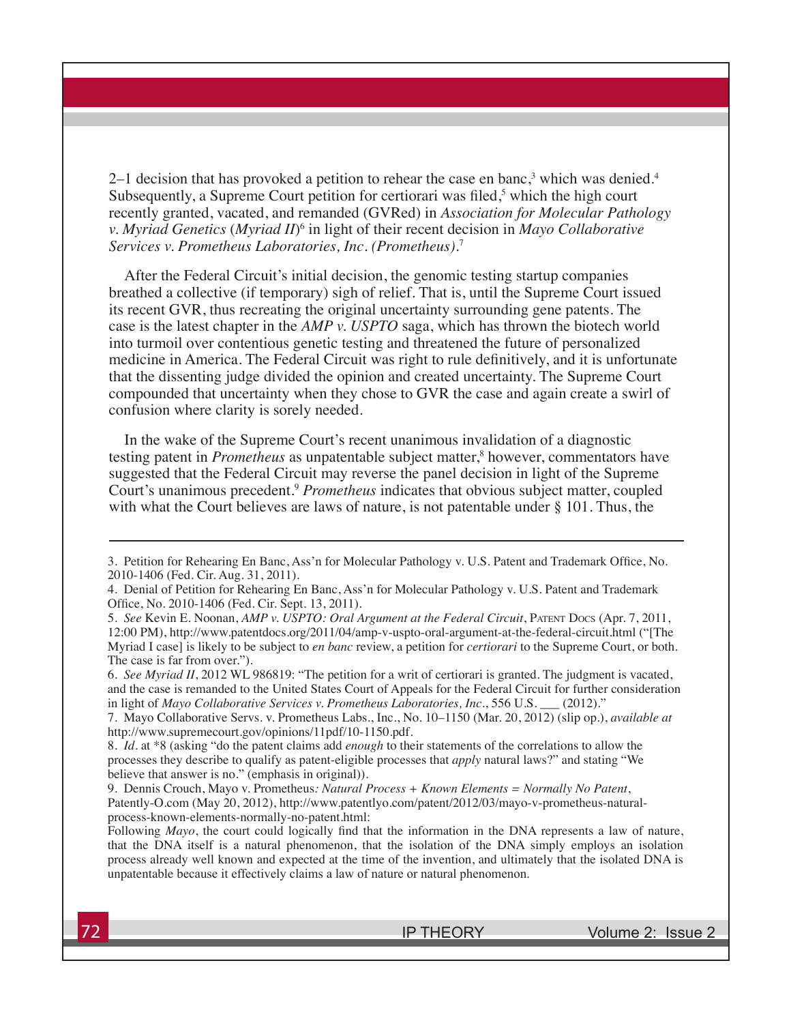2–1 decision that has provoked a petition to rehear the case en banc,<sup>3</sup> which was denied.<sup>4</sup> Subsequently, a Supreme Court petition for certiorari was filed,<sup>5</sup> which the high court recently granted, vacated, and remanded (GVRed) in *Association for Molecular Pathology v. Myriad Genetics* (*Myriad II*)<sup>6</sup> in light of their recent decision in *Mayo Collaborative Services v. Prometheus Laboratories, Inc. (Prometheus).*<sup>7</sup>

After the Federal Circuit's initial decision, the genomic testing startup companies breathed a collective (if temporary) sigh of relief. That is, until the Supreme Court issued its recent GVR, thus recreating the original uncertainty surrounding gene patents. The case is the latest chapter in the *AMP v. USPTO* saga, which has thrown the biotech world into turmoil over contentious genetic testing and threatened the future of personalized medicine in America. The Federal Circuit was right to rule definitively, and it is unfortunate that the dissenting judge divided the opinion and created uncertainty. The Supreme Court compounded that uncertainty when they chose to GVR the case and again create a swirl of confusion where clarity is sorely needed.

In the wake of the Supreme Court's recent unanimous invalidation of a diagnostic testing patent in *Prometheus* as unpatentable subject matter,<sup>8</sup> however, commentators have suggested that the Federal Circuit may reverse the panel decision in light of the Supreme Court's unanimous precedent.<sup>9</sup> *Prometheus* indicates that obvious subject matter, coupled with what the Court believes are laws of nature, is not patentable under § 101. Thus, the

<sup>3.</sup> Petition for Rehearing En Banc, Ass'n for Molecular Pathology v. U.S. Patent and Trademark Office, No. 2010-1406 (Fed. Cir. Aug. 31, 2011).

<sup>4.</sup> Denial of Petition for Rehearing En Banc, Ass'n for Molecular Pathology v. U.S. Patent and Trademark Office, No. 2010-1406 (Fed. Cir. Sept. 13, 2011).

<sup>5.</sup> *See* Kevin E. Noonan, *AMP v. USPTO: Oral Argument at the Federal Circuit*, Patent Docs (Apr. 7, 2011, 12:00 PM), http://www.patentdocs.org/2011/04/amp-v-uspto-oral-argument-at-the-federal-circuit.html ("[The Myriad I case] is likely to be subject to *en banc* review, a petition for *certiorari* to the Supreme Court, or both. The case is far from over.").

<sup>6.</sup> *See Myriad II*, 2012 WL 986819: "The petition for a writ of certiorari is granted. The judgment is vacated, and the case is remanded to the United States Court of Appeals for the Federal Circuit for further consideration in light of *Mayo Collaborative Services v. Prometheus Laboratories, Inc.*, 556 U.S. \_\_\_ (2012)."

<sup>7.</sup> Mayo Collaborative Servs. v. Prometheus Labs., Inc., No. 10–1150 (Mar. 20, 2012) (slip op.), *available at*  http://www.supremecourt.gov/opinions/11pdf/10-1150.pdf.

<sup>8.</sup> *Id.* at \*8 (asking "do the patent claims add *enough* to their statements of the correlations to allow the processes they describe to qualify as patent-eligible processes that *apply* natural laws?" and stating "We believe that answer is no." (emphasis in original)).

<sup>9.</sup> Dennis Crouch, Mayo v. Prometheus*: Natural Process + Known Elements = Normally No Patent*, Patently-O.com (May 20, 2012), http://www.patentlyo.com/patent/2012/03/mayo-v-prometheus-naturalprocess-known-elements-normally-no-patent.html:

Following *Mayo*, the court could logically find that the information in the DNA represents a law of nature, that the DNA itself is a natural phenomenon, that the isolation of the DNA simply employs an isolation process already well known and expected at the time of the invention, and ultimately that the isolated DNA is unpatentable because it effectively claims a law of nature or natural phenomenon.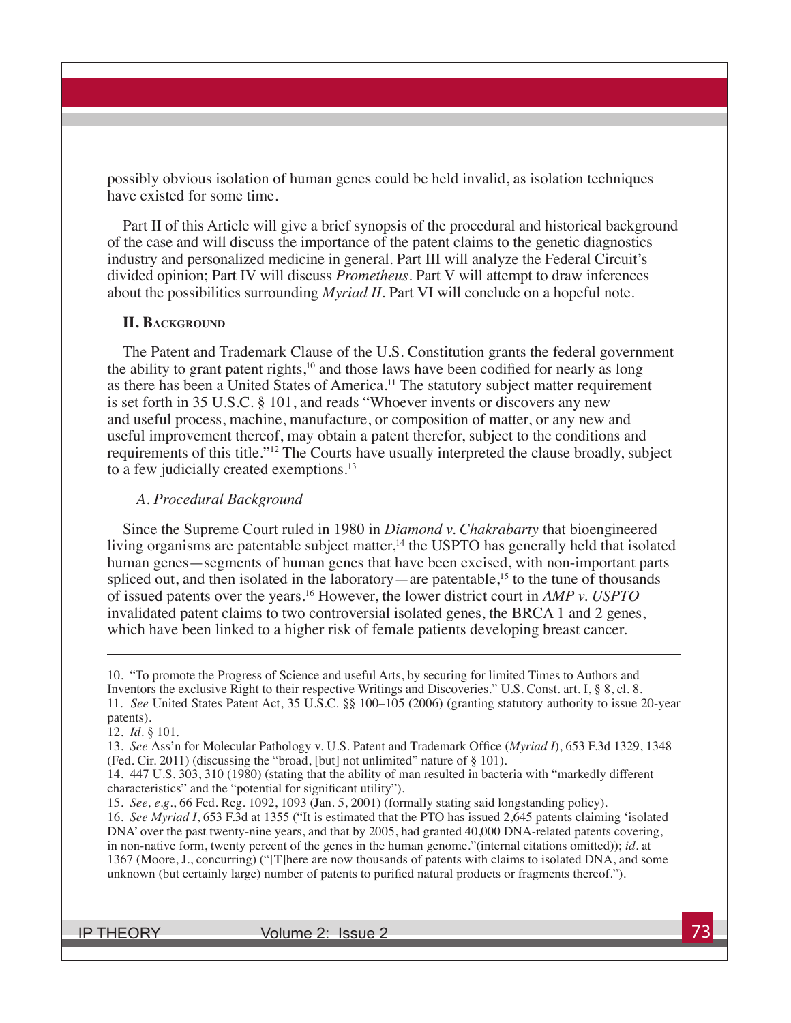possibly obvious isolation of human genes could be held invalid, as isolation techniques have existed for some time.

Part II of this Article will give a brief synopsis of the procedural and historical background of the case and will discuss the importance of the patent claims to the genetic diagnostics industry and personalized medicine in general. Part III will analyze the Federal Circuit's divided opinion; Part IV will discuss *Prometheus*. Part V will attempt to draw inferences about the possibilities surrounding *Myriad II*. Part VI will conclude on a hopeful note.

#### **II. Background**

The Patent and Trademark Clause of the U.S. Constitution grants the federal government the ability to grant patent rights, $10$  and those laws have been codified for nearly as long as there has been a United States of America.<sup>11</sup> The statutory subject matter requirement is set forth in 35 U.S.C. § 101, and reads "Whoever invents or discovers any new and useful process, machine, manufacture, or composition of matter, or any new and useful improvement thereof, may obtain a patent therefor, subject to the conditions and requirements of this title."<sup>12</sup> The Courts have usually interpreted the clause broadly, subject to a few judicially created exemptions.<sup>13</sup>

#### *A. Procedural Background*

Since the Supreme Court ruled in 1980 in *Diamond v. Chakrabarty* that bioengineered living organisms are patentable subject matter,<sup>14</sup> the USPTO has generally held that isolated human genes—segments of human genes that have been excised, with non-important parts spliced out, and then isolated in the laboratory—are patentable,<sup>15</sup> to the tune of thousands of issued patents over the years.16 However, the lower district court in *AMP v. USPTO* invalidated patent claims to two controversial isolated genes, the BRCA 1 and 2 genes, which have been linked to a higher risk of female patients developing breast cancer.

<sup>10. &</sup>quot;To promote the Progress of Science and useful Arts, by securing for limited Times to Authors and Inventors the exclusive Right to their respective Writings and Discoveries." U.S. Const. art. I, § 8, cl. 8. 11. *See* United States Patent Act, 35 U.S.C. §§ 100–105 (2006) (granting statutory authority to issue 20-year patents).

<sup>12.</sup> *Id.* § 101.

<sup>13.</sup> *See* Ass'n for Molecular Pathology v. U.S. Patent and Trademark Office (*Myriad I*), 653 F.3d 1329, 1348 (Fed. Cir. 2011) (discussing the "broad, [but] not unlimited" nature of § 101).

<sup>14. 447</sup> U.S. 303, 310 (1980) (stating that the ability of man resulted in bacteria with "markedly different characteristics" and the "potential for significant utility").

<sup>15.</sup> *See, e.g.*, 66 Fed. Reg. 1092, 1093 (Jan. 5, 2001) (formally stating said longstanding policy).

<sup>16.</sup> *See Myriad I*, 653 F.3d at 1355 ("It is estimated that the PTO has issued 2,645 patents claiming 'isolated DNA' over the past twenty-nine years, and that by 2005, had granted 40,000 DNA-related patents covering, in non-native form, twenty percent of the genes in the human genome."(internal citations omitted)); *id.* at 1367 (Moore, J., concurring) ("[T]here are now thousands of patents with claims to isolated DNA, and some unknown (but certainly large) number of patents to purified natural products or fragments thereof.").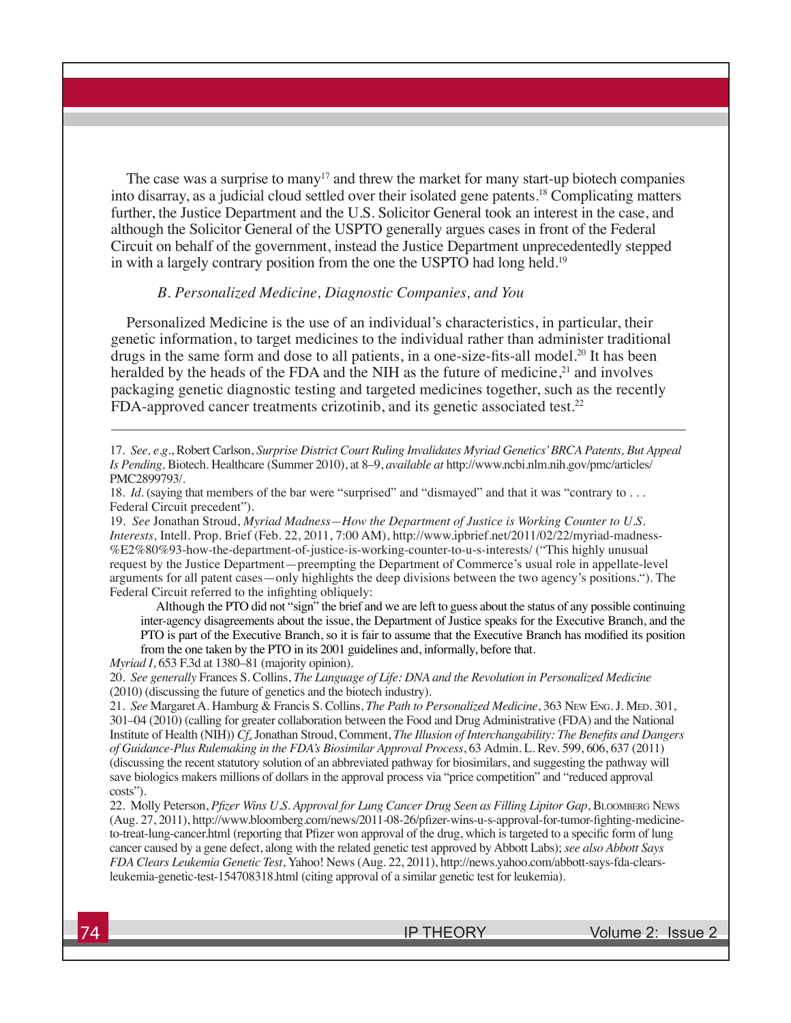The case was a surprise to many<sup>17</sup> and threw the market for many start-up biotech companies into disarray, as a judicial cloud settled over their isolated gene patents.18 Complicating matters further, the Justice Department and the U.S. Solicitor General took an interest in the case, and although the Solicitor General of the USPTO generally argues cases in front of the Federal Circuit on behalf of the government, instead the Justice Department unprecedentedly stepped in with a largely contrary position from the one the USPTO had long held.<sup>19</sup>

#### *B. Personalized Medicine, Diagnostic Companies, and You*

Personalized Medicine is the use of an individual's characteristics, in particular, their genetic information, to target medicines to the individual rather than administer traditional drugs in the same form and dose to all patients, in a one-size-fits-all model.<sup>20</sup> It has been heralded by the heads of the FDA and the NIH as the future of medicine, $^{21}$  and involves packaging genetic diagnostic testing and targeted medicines together, such as the recently FDA-approved cancer treatments crizotinib, and its genetic associated test.<sup>22</sup>

19. *See* Jonathan Stroud, *Myriad Madness—How the Department of Justice is Working Counter to U.S. Interests,* Intell. Prop. Brief (Feb. 22, 2011, 7:00 AM), http://www.ipbrief.net/2011/02/22/myriad-madness- %E2%80%93-how-the-department-of-justice-is-working-counter-to-u-s-interests/ ("This highly unusual request by the Justice Department—preempting the Department of Commerce's usual role in appellate-level arguments for all patent cases—only highlights the deep divisions between the two agency's positions."). The Federal Circuit referred to the infighting obliquely:

Although the PTO did not "sign" the brief and we are left to guess about the status of any possible continuing inter-agency disagreements about the issue, the Department of Justice speaks for the Executive Branch, and the PTO is part of the Executive Branch, so it is fair to assume that the Executive Branch has modified its position from the one taken by the PTO in its 2001 guidelines and, informally, before that.

*Myriad I*, 653 F.3d at 1380–81 (majority opinion).

20. *See generally* Frances S. Collins, *The Language of Life: DNA and the Revolution in Personalized Medicine* (2010) (discussing the future of genetics and the biotech industry).

21. *See* Margaret A. Hamburg & Francis S. Collins, *The Path to Personalized Medicine*, 363 New Eng. J. Med. 301, 301–04 (2010) (calling for greater collaboration between the Food and Drug Administrative (FDA) and the National Institute of Health (NIH)) *Cf*. Jonathan Stroud, Comment, *The Illusion of Interchangability: The Benefits and Dangers of Guidance-Plus Rulemaking in the FDA's Biosimilar Approval Process*, 63 Admin. L. Rev. 599, 606, 637 (2011) (discussing the recent statutory solution of an abbreviated pathway for biosimilars, and suggesting the pathway will save biologics makers millions of dollars in the approval process via "price competition" and "reduced approval costs").

22. Molly Peterson, *Pfizer Wins U.S. Approval for Lung Cancer Drug Seen as Filling Lipitor Gap*, Bloomberg News (Aug. 27, 2011), http://www.bloomberg.com/news/2011-08-26/pfizer-wins-u-s-approval-for-tumor-fighting-medicineto-treat-lung-cancer.html (reporting that Pfizer won approval of the drug, which is targeted to a specific form of lung cancer caused by a gene defect, along with the related genetic test approved by Abbott Labs); *see also Abbott Says FDA Clears Leukemia Genetic Test*, Yahoo! News (Aug. 22, 2011), http://news.yahoo.com/abbott-says-fda-clearsleukemia-genetic-test-154708318.html (citing approval of a similar genetic test for leukemia).

<sup>17.</sup> *See, e.g.*, Robert Carlson, *Surprise District Court Ruling Invalidates Myriad Genetics' BRCA Patents, But Appeal Is Pending,* Biotech. Healthcare (Summer 2010), at 8–9, *available at* http://www.ncbi.nlm.nih.gov/pmc/articles/ PMC2899793/.

<sup>18.</sup> *Id.* (saying that members of the bar were "surprised" and "dismayed" and that it was "contrary to ... Federal Circuit precedent").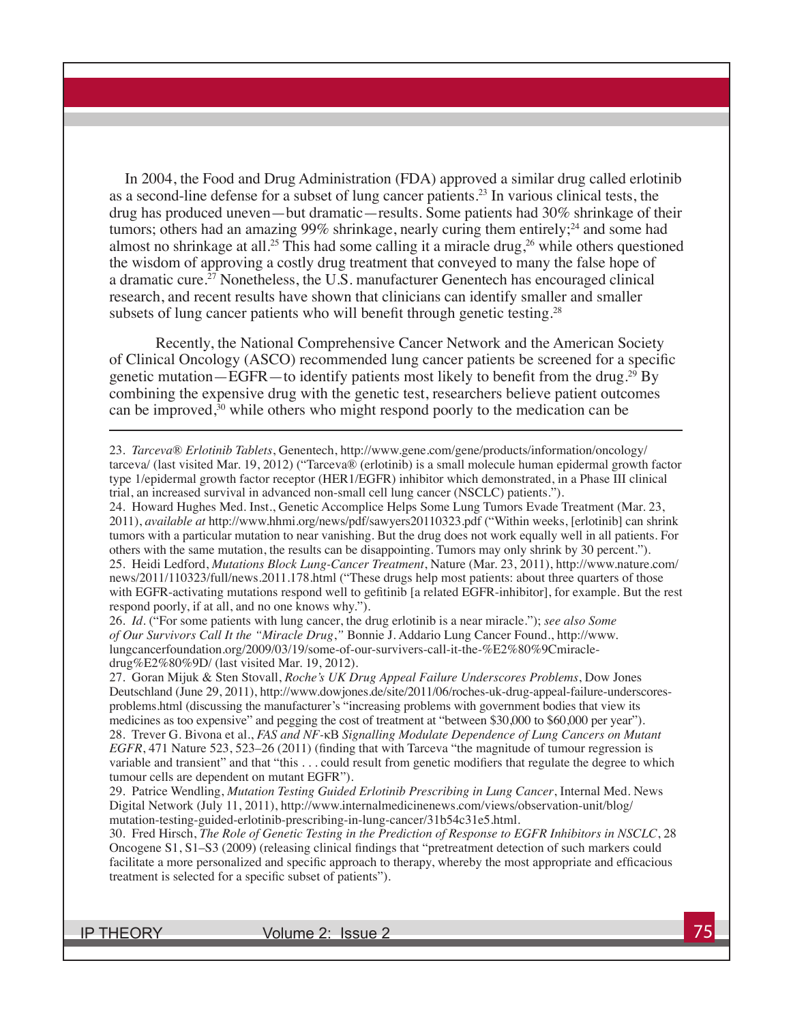In 2004, the Food and Drug Administration (FDA) approved a similar drug called erlotinib as a second-line defense for a subset of lung cancer patients.23 In various clinical tests, the drug has produced uneven—but dramatic—results. Some patients had 30% shrinkage of their tumors; others had an amazing 99% shrinkage, nearly curing them entirely;  $24$  and some had almost no shrinkage at all.<sup>25</sup> This had some calling it a miracle drug,<sup>26</sup> while others questioned the wisdom of approving a costly drug treatment that conveyed to many the false hope of a dramatic cure.27 Nonetheless, the U.S. manufacturer Genentech has encouraged clinical research, and recent results have shown that clinicians can identify smaller and smaller subsets of lung cancer patients who will benefit through genetic testing.<sup>28</sup>

Recently, the National Comprehensive Cancer Network and the American Society of Clinical Oncology (ASCO) recommended lung cancer patients be screened for a specific genetic mutation—EGFR—to identify patients most likely to benefit from the drug.<sup>29</sup> By combining the expensive drug with the genetic test, researchers believe patient outcomes can be improved,<sup>30</sup> while others who might respond poorly to the medication can be

23. *Tarceva*® *Erlotinib Tablets*, Genentech, http://www.gene.com/gene/products/information/oncology/ tarceva/ (last visited Mar. 19, 2012) ("Tarceva® (erlotinib) is a small molecule human epidermal growth factor type 1/epidermal growth factor receptor (HER1/EGFR) inhibitor which demonstrated, in a Phase III clinical trial, an increased survival in advanced non-small cell lung cancer (NSCLC) patients.").

24. Howard Hughes Med. Inst., Genetic Accomplice Helps Some Lung Tumors Evade Treatment (Mar. 23, 2011), *available at* http://www.hhmi.org/news/pdf/sawyers20110323.pdf ("Within weeks, [erlotinib] can shrink tumors with a particular mutation to near vanishing. But the drug does not work equally well in all patients. For others with the same mutation, the results can be disappointing. Tumors may only shrink by 30 percent."). 25. Heidi Ledford, *Mutations Block Lung-Cancer Treatment*, Nature (Mar. 23, 2011), http://www.nature.com/ news/2011/110323/full/news.2011.178.html ("These drugs help most patients: about three quarters of those with EGFR-activating mutations respond well to gefitinib [a related EGFR-inhibitor], for example. But the rest respond poorly, if at all, and no one knows why.").

26. *Id.* ("For some patients with lung cancer, the drug erlotinib is a near miracle."); *see also Some of Our Survivors Call It the "Miracle Drug*,*"* Bonnie J. Addario Lung Cancer Found., http://www. lungcancerfoundation.org/2009/03/19/some-of-our-survivers-call-it-the-%E2%80%9Cmiracledrug%E2%80%9D/ (last visited Mar. 19, 2012).

27. Goran Mijuk & Sten Stovall, *Roche's UK Drug Appeal Failure Underscores Problems*, Dow Jones Deutschland (June 29, 2011), http://www.dowjones.de/site/2011/06/roches-uk-drug-appeal-failure-underscoresproblems.html (discussing the manufacturer's "increasing problems with government bodies that view its medicines as too expensive" and pegging the cost of treatment at "between \$30,000 to \$60,000 per year"). 28. Trever G. Bivona et al., *FAS and NF-*κB *Signalling Modulate Dependence of Lung Cancers on Mutant EGFR*, 471 Nature 523, 523–26 (2011) (finding that with Tarceva "the magnitude of tumour regression is variable and transient" and that "this . . . could result from genetic modifiers that regulate the degree to which tumour cells are dependent on mutant EGFR").

29. Patrice Wendling, *Mutation Testing Guided Erlotinib Prescribing in Lung Cancer*, Internal Med. News Digital Network (July 11, 2011), http://www.internalmedicinenews.com/views/observation-unit/blog/ mutation-testing-guided-erlotinib-prescribing-in-lung-cancer/31b54c31e5.html.

30. Fred Hirsch, *The Role of Genetic Testing in the Prediction of Response to EGFR Inhibitors in NSCLC*, 28 Oncogene S1, S1–S3 (2009) (releasing clinical findings that "pretreatment detection of such markers could facilitate a more personalized and specific approach to therapy, whereby the most appropriate and efficacious treatment is selected for a specific subset of patients").

IP THEORY Volume 2: Issue 2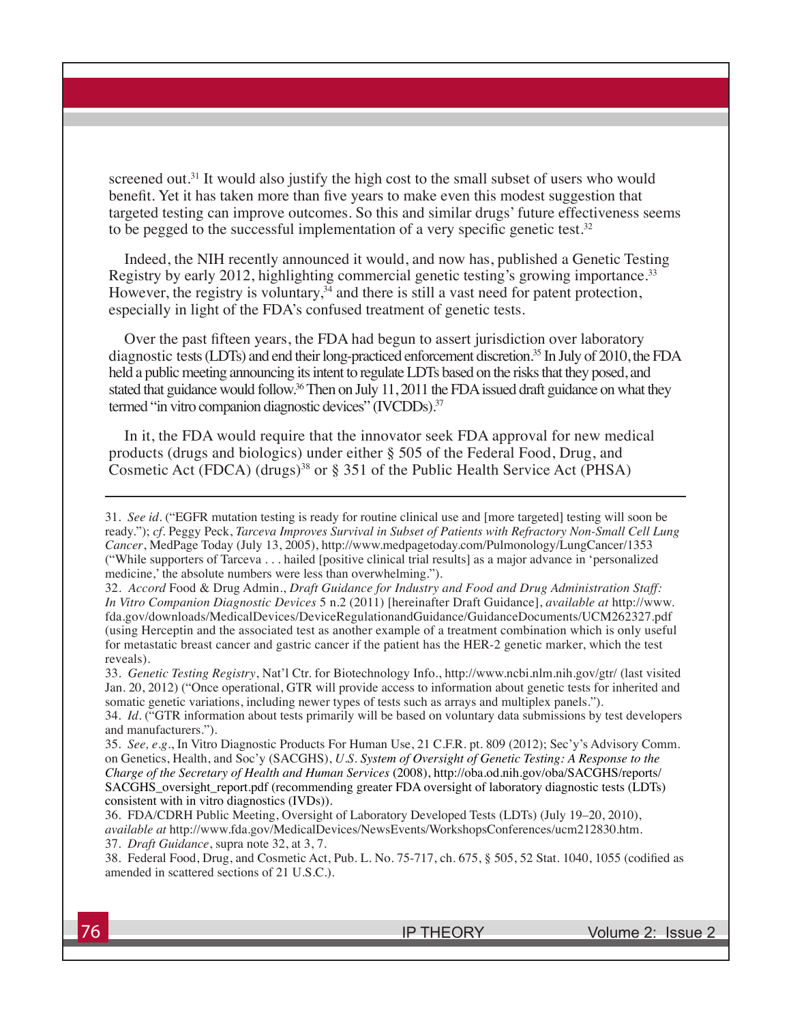screened out.<sup>31</sup> It would also justify the high cost to the small subset of users who would benefit. Yet it has taken more than five years to make even this modest suggestion that targeted testing can improve outcomes. So this and similar drugs' future effectiveness seems to be pegged to the successful implementation of a very specific genetic test. $32$ 

Indeed, the NIH recently announced it would, and now has, published a Genetic Testing Registry by early 2012, highlighting commercial genetic testing's growing importance.<sup>33</sup> However, the registry is voluntary,  $34$  and there is still a vast need for patent protection, especially in light of the FDA's confused treatment of genetic tests.

Over the past fifteen years, the FDA had begun to assert jurisdiction over laboratory diagnostic tests (LDTs) and end their long-practiced enforcement discretion.35 In July of 2010, the FDA held a public meeting announcing its intent to regulate LDTs based on the risks that they posed, and stated that guidance would follow.<sup>36</sup> Then on July 11, 2011 the FDA issued draft guidance on what they termed "in vitro companion diagnostic devices" (IVCDDs).<sup>37</sup>

In it, the FDA would require that the innovator seek FDA approval for new medical products (drugs and biologics) under either § 505 of the Federal Food, Drug, and Cosmetic Act (FDCA) (drugs)<sup>38</sup> or § 351 of the Public Health Service Act (PHSA)

<sup>31.</sup> *See id.* ("EGFR mutation testing is ready for routine clinical use and [more targeted] testing will soon be ready."); *cf.* Peggy Peck, *Tarceva Improves Survival in Subset of Patients with Refractory Non-Small Cell Lung Cancer*, MedPage Today (July 13, 2005), http://www.medpagetoday.com/Pulmonology/LungCancer/1353 ("While supporters of Tarceva . . . hailed [positive clinical trial results] as a major advance in 'personalized medicine,' the absolute numbers were less than overwhelming.").

<sup>32.</sup> *Accord* Food & Drug Admin., *Draft Guidance for Industry and Food and Drug Administration Staff: In Vitro Companion Diagnostic Devices* 5 n.2 (2011) [hereinafter Draft Guidance], *available at* http://www. fda.gov/downloads/MedicalDevices/DeviceRegulationandGuidance/GuidanceDocuments/UCM262327.pdf (using Herceptin and the associated test as another example of a treatment combination which is only useful for metastatic breast cancer and gastric cancer if the patient has the HER-2 genetic marker, which the test reveals).

<sup>33.</sup> *Genetic Testing Registry*, Nat'l Ctr. for Biotechnology Info., http://www.ncbi.nlm.nih.gov/gtr/ (last visited Jan. 20, 2012) ("Once operational, GTR will provide access to information about genetic tests for inherited and somatic genetic variations, including newer types of tests such as arrays and multiplex panels.").

<sup>34.</sup> *Id.* ("GTR information about tests primarily will be based on voluntary data submissions by test developers and manufacturers.").

<sup>35.</sup> *See, e.g.*, In Vitro Diagnostic Products For Human Use, 21 C.F.R. pt. 809 (2012); Sec'y's Advisory Comm. on Genetics, Health, and Soc'y (SACGHS), *U.S. System of Oversight of Genetic Testing: A Response to the Charge of the Secretary of Health and Human Services* (2008), http://oba.od.nih.gov/oba/SACGHS/reports/ SACGHS\_oversight\_report.pdf (recommending greater FDA oversight of laboratory diagnostic tests (LDTs) consistent with in vitro diagnostics (IVDs)).

<sup>36.</sup> FDA/CDRH Public Meeting, Oversight of Laboratory Developed Tests (LDTs) (July 19–20, 2010), *available at* http://www.fda.gov/MedicalDevices/NewsEvents/WorkshopsConferences/ucm212830.htm. 37. *Draft Guidance*, supra note 32, at 3, 7.

<sup>38.</sup> Federal Food, Drug, and Cosmetic Act, Pub. L. No. 75-717, ch. 675, § 505, 52 Stat. 1040, 1055 (codified as amended in scattered sections of 21 U.S.C.).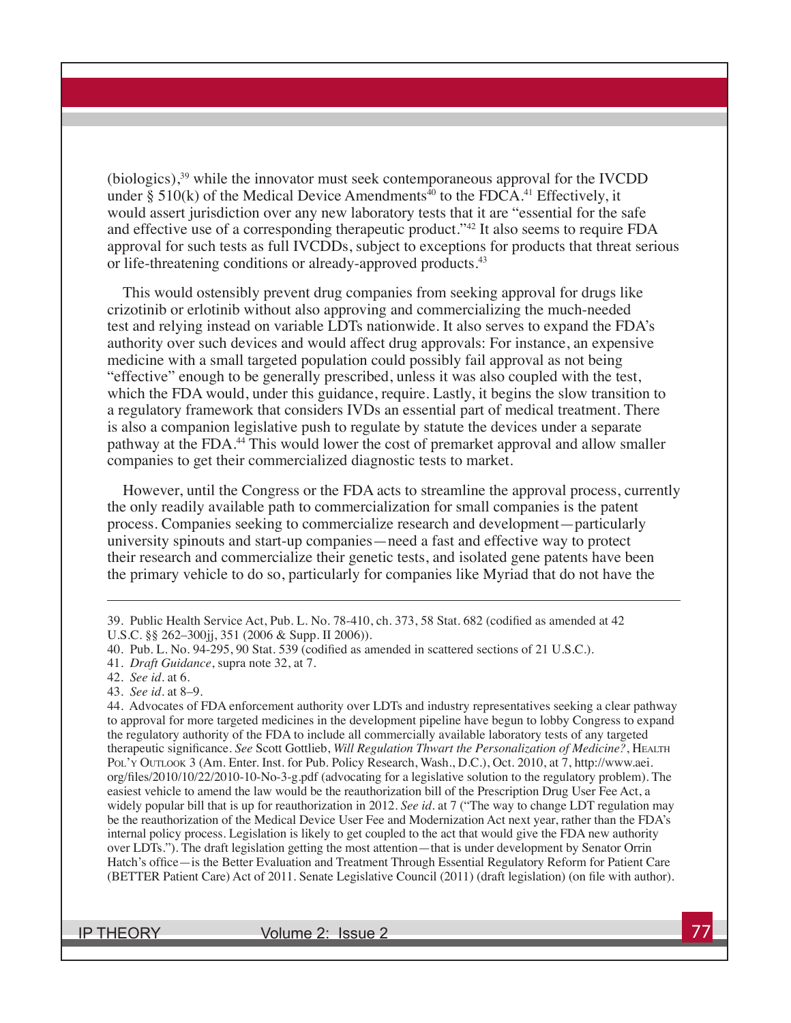(biologics),39 while the innovator must seek contemporaneous approval for the IVCDD under § 510(k) of the Medical Device Amendments<sup>40</sup> to the FDCA.<sup>41</sup> Effectively, it would assert jurisdiction over any new laboratory tests that it are "essential for the safe and effective use of a corresponding therapeutic product."42 It also seems to require FDA approval for such tests as full IVCDDs, subject to exceptions for products that threat serious or life-threatening conditions or already-approved products.<sup>43</sup>

This would ostensibly prevent drug companies from seeking approval for drugs like crizotinib or erlotinib without also approving and commercializing the much-needed test and relying instead on variable LDTs nationwide. It also serves to expand the FDA's authority over such devices and would affect drug approvals: For instance, an expensive medicine with a small targeted population could possibly fail approval as not being "effective" enough to be generally prescribed, unless it was also coupled with the test, which the FDA would, under this guidance, require. Lastly, it begins the slow transition to a regulatory framework that considers IVDs an essential part of medical treatment. There is also a companion legislative push to regulate by statute the devices under a separate pathway at the FDA.<sup>44</sup> This would lower the cost of premarket approval and allow smaller companies to get their commercialized diagnostic tests to market.

However, until the Congress or the FDA acts to streamline the approval process, currently the only readily available path to commercialization for small companies is the patent process. Companies seeking to commercialize research and development—particularly university spinouts and start-up companies—need a fast and effective way to protect their research and commercialize their genetic tests, and isolated gene patents have been the primary vehicle to do so, particularly for companies like Myriad that do not have the

44. Advocates of FDA enforcement authority over LDTs and industry representatives seeking a clear pathway to approval for more targeted medicines in the development pipeline have begun to lobby Congress to expand the regulatory authority of the FDA to include all commercially available laboratory tests of any targeted therapeutic significance. See Scott Gottlieb, *Will Regulation Thwart the Personalization of Medicine?*, HEALTH Pol'y Outlook 3 (Am. Enter. Inst. for Pub. Policy Research, Wash., D.C.), Oct. 2010, at 7, http://www.aei. org/files/2010/10/22/2010-10-No-3-g.pdf (advocating for a legislative solution to the regulatory problem). The easiest vehicle to amend the law would be the reauthorization bill of the Prescription Drug User Fee Act, a widely popular bill that is up for reauthorization in 2012. *See id.* at 7 ("The way to change LDT regulation may be the reauthorization of the Medical Device User Fee and Modernization Act next year, rather than the FDA's internal policy process. Legislation is likely to get coupled to the act that would give the FDA new authority over LDTs."). The draft legislation getting the most attention—that is under development by Senator Orrin Hatch's office—is the Better Evaluation and Treatment Through Essential Regulatory Reform for Patient Care (BETTER Patient Care) Act of 2011. Senate Legislative Council (2011) (draft legislation) (on file with author).

IP THEORY Volume 2: Issue 2

<sup>39.</sup> Public Health Service Act, Pub. L. No. 78-410, ch. 373, 58 Stat. 682 (codified as amended at 42 U.S.C. §§ 262–300jj, 351 (2006 & Supp. II 2006)).

<sup>40.</sup> Pub. L. No. 94-295, 90 Stat. 539 (codified as amended in scattered sections of 21 U.S.C.).

<sup>41.</sup> *Draft Guidance*, supra note 32, at 7.

<sup>42.</sup> *See id.* at 6.

<sup>43.</sup> *See id.* at 8–9.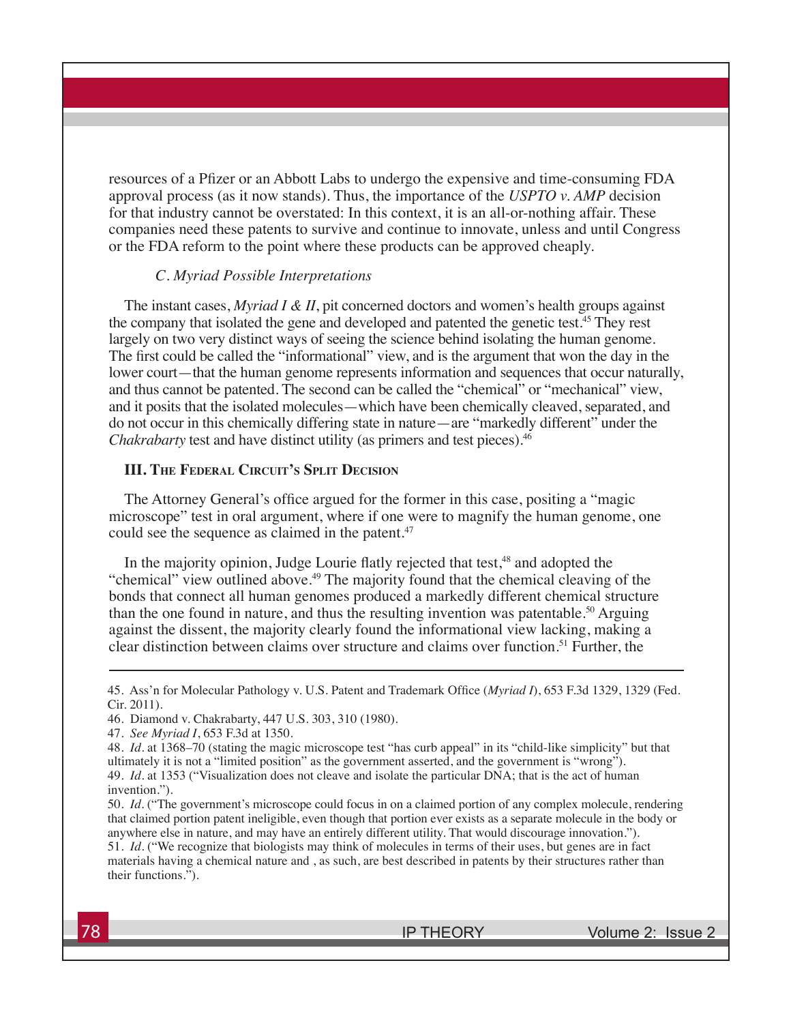resources of a Pfizer or an Abbott Labs to undergo the expensive and time-consuming FDA approval process (as it now stands). Thus, the importance of the *USPTO v. AMP* decision for that industry cannot be overstated: In this context, it is an all-or-nothing affair. These companies need these patents to survive and continue to innovate, unless and until Congress or the FDA reform to the point where these products can be approved cheaply.

#### *C. Myriad Possible Interpretations*

The instant cases, *Myriad I & II*, pit concerned doctors and women's health groups against the company that isolated the gene and developed and patented the genetic test.45 They rest largely on two very distinct ways of seeing the science behind isolating the human genome. The first could be called the "informational" view, and is the argument that won the day in the lower court—that the human genome represents information and sequences that occur naturally, and thus cannot be patented. The second can be called the "chemical" or "mechanical" view, and it posits that the isolated molecules—which have been chemically cleaved, separated, and do not occur in this chemically differing state in nature—are "markedly different" under the *Chakrabarty* test and have distinct utility (as primers and test pieces).<sup>46</sup>

### **III. The Federal Circuit's Split Decision**

The Attorney General's office argued for the former in this case, positing a "magic microscope" test in oral argument, where if one were to magnify the human genome, one could see the sequence as claimed in the patent.<sup>47</sup>

In the majority opinion, Judge Lourie flatly rejected that test,<sup>48</sup> and adopted the "chemical" view outlined above.49 The majority found that the chemical cleaving of the bonds that connect all human genomes produced a markedly different chemical structure than the one found in nature, and thus the resulting invention was patentable.<sup>50</sup> Arguing against the dissent, the majority clearly found the informational view lacking, making a clear distinction between claims over structure and claims over function.51 Further, the

<sup>45.</sup> Ass'n for Molecular Pathology v. U.S. Patent and Trademark Office (*Myriad I*), 653 F.3d 1329, 1329 (Fed. Cir. 2011).

<sup>46.</sup> Diamond v. Chakrabarty, 447 U.S. 303, 310 (1980).

<sup>47.</sup> *See Myriad I*, 653 F.3d at 1350.

<sup>48.</sup> *Id.* at 1368–70 (stating the magic microscope test "has curb appeal" in its "child-like simplicity" but that ultimately it is not a "limited position" as the government asserted, and the government is "wrong"). 49. *Id.* at 1353 ("Visualization does not cleave and isolate the particular DNA; that is the act of human invention.").

<sup>50.</sup> *Id.* ("The government's microscope could focus in on a claimed portion of any complex molecule, rendering that claimed portion patent ineligible, even though that portion ever exists as a separate molecule in the body or anywhere else in nature, and may have an entirely different utility. That would discourage innovation."). 51. *Id.* ("We recognize that biologists may think of molecules in terms of their uses, but genes are in fact materials having a chemical nature and , as such, are best described in patents by their structures rather than their functions.").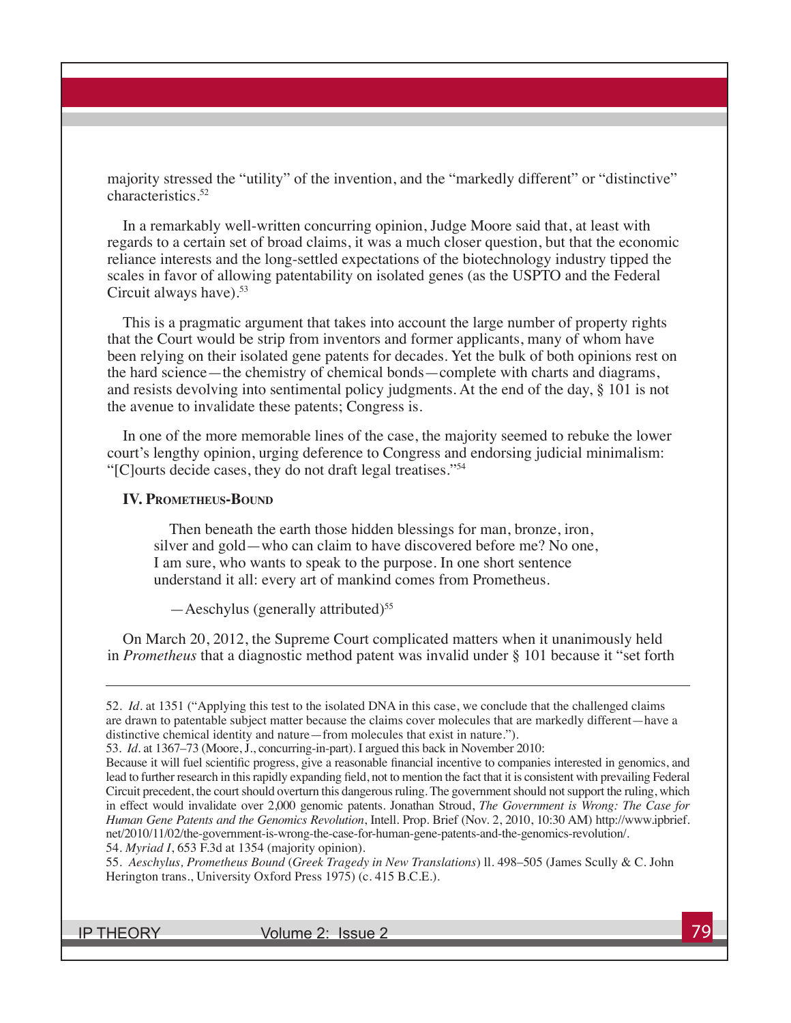majority stressed the "utility" of the invention, and the "markedly different" or "distinctive" characteristics.52

In a remarkably well-written concurring opinion, Judge Moore said that, at least with regards to a certain set of broad claims, it was a much closer question, but that the economic reliance interests and the long-settled expectations of the biotechnology industry tipped the scales in favor of allowing patentability on isolated genes (as the USPTO and the Federal Circuit always have).<sup>53</sup>

This is a pragmatic argument that takes into account the large number of property rights that the Court would be strip from inventors and former applicants, many of whom have been relying on their isolated gene patents for decades. Yet the bulk of both opinions rest on the hard science—the chemistry of chemical bonds—complete with charts and diagrams, and resists devolving into sentimental policy judgments. At the end of the day, § 101 is not the avenue to invalidate these patents; Congress is.

In one of the more memorable lines of the case, the majority seemed to rebuke the lower court's lengthy opinion, urging deference to Congress and endorsing judicial minimalism: "[C]ourts decide cases, they do not draft legal treatises."54

#### **IV. Prometheus-Bound**

Then beneath the earth those hidden blessings for man, bronze, iron, silver and gold—who can claim to have discovered before me? No one, I am sure, who wants to speak to the purpose. In one short sentence understand it all: every art of mankind comes from Prometheus.

 $-$ Aeschylus (generally attributed)<sup>55</sup>

On March 20, 2012, the Supreme Court complicated matters when it unanimously held in *Prometheus* that a diagnostic method patent was invalid under § 101 because it "set forth

55. *Aeschylus, Prometheus Bound* (*Greek Tragedy in New Translations*) ll. 498–505 (James Scully & C. John Herington trans., University Oxford Press 1975) (c. 415 B.C.E.).

IP THEORY Volume 2: Issue 2

<sup>52.</sup> *Id.* at 1351 ("Applying this test to the isolated DNA in this case, we conclude that the challenged claims are drawn to patentable subject matter because the claims cover molecules that are markedly different—have a distinctive chemical identity and nature—from molecules that exist in nature.").

<sup>53.</sup> *Id.* at 1367–73 (Moore, J., concurring-in-part). I argued this back in November 2010:

Because it will fuel scientific progress, give a reasonable financial incentive to companies interested in genomics, and lead to further research in this rapidly expanding field, not to mention the fact that it is consistent with prevailing Federal Circuit precedent, the court should overturn this dangerous ruling. The government should not support the ruling, which in effect would invalidate over 2,000 genomic patents. Jonathan Stroud, *The Government is Wrong: The Case for Human Gene Patents and the Genomics Revolution*, Intell. Prop. Brief (Nov. 2, 2010, 10:30 AM) http://www.ipbrief. net/2010/11/02/the-government-is-wrong-the-case-for-human-gene-patents-and-the-genomics-revolution/. 54. *Myriad I*, 653 F.3d at 1354 (majority opinion).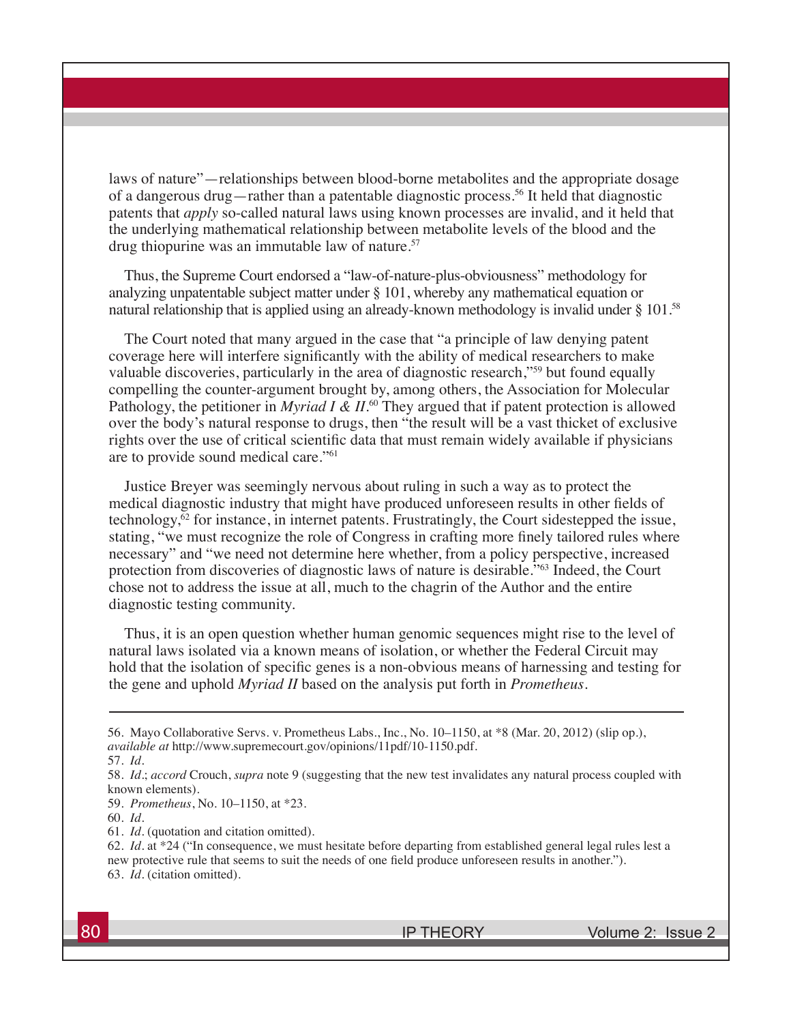laws of nature"—relationships between blood-borne metabolites and the appropriate dosage of a dangerous drug—rather than a patentable diagnostic process.56 It held that diagnostic patents that *apply* so-called natural laws using known processes are invalid, and it held that the underlying mathematical relationship between metabolite levels of the blood and the drug thiopurine was an immutable law of nature.57

Thus, the Supreme Court endorsed a "law-of-nature-plus-obviousness" methodology for analyzing unpatentable subject matter under § 101, whereby any mathematical equation or natural relationship that is applied using an already-known methodology is invalid under § 101.58

The Court noted that many argued in the case that "a principle of law denying patent coverage here will interfere significantly with the ability of medical researchers to make valuable discoveries, particularly in the area of diagnostic research,"59 but found equally compelling the counter-argument brought by, among others, the Association for Molecular Pathology, the petitioner in *Myriad I & II*.<sup>60</sup> They argued that if patent protection is allowed over the body's natural response to drugs, then "the result will be a vast thicket of exclusive rights over the use of critical scientific data that must remain widely available if physicians are to provide sound medical care."61

Justice Breyer was seemingly nervous about ruling in such a way as to protect the medical diagnostic industry that might have produced unforeseen results in other fields of technology,62 for instance, in internet patents. Frustratingly, the Court sidestepped the issue, stating, "we must recognize the role of Congress in crafting more finely tailored rules where necessary" and "we need not determine here whether, from a policy perspective, increased protection from discoveries of diagnostic laws of nature is desirable."63 Indeed, the Court chose not to address the issue at all, much to the chagrin of the Author and the entire diagnostic testing community.

Thus, it is an open question whether human genomic sequences might rise to the level of natural laws isolated via a known means of isolation, or whether the Federal Circuit may hold that the isolation of specific genes is a non-obvious means of harnessing and testing for the gene and uphold *Myriad II* based on the analysis put forth in *Prometheus*.

56. Mayo Collaborative Servs. v. Prometheus Labs., Inc., No. 10–1150, at \*8 (Mar. 20, 2012) (slip op.), *available at* http://www.supremecourt.gov/opinions/11pdf/10-1150.pdf.

<sup>57.</sup> *Id.* 

<sup>58.</sup> *Id.*; *accord* Crouch, *supra* note 9 (suggesting that the new test invalidates any natural process coupled with known elements).

<sup>59.</sup> *Prometheus*, No. 10–1150, at \*23.

<sup>60.</sup> *Id.* 

<sup>61.</sup> *Id.* (quotation and citation omitted).

<sup>62.</sup> *Id.* at \*24 ("In consequence, we must hesitate before departing from established general legal rules lest a new protective rule that seems to suit the needs of one field produce unforeseen results in another."). 63. *Id.* (citation omitted).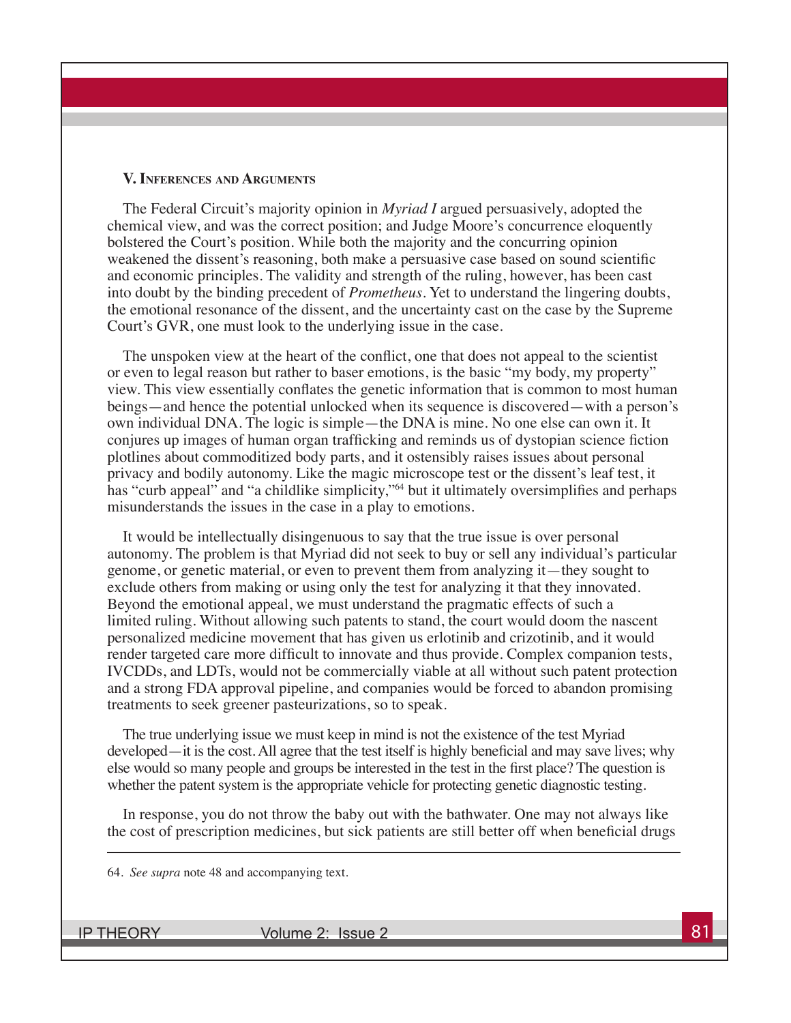#### **V. Inferences and Arguments**

The Federal Circuit's majority opinion in *Myriad I* argued persuasively, adopted the chemical view, and was the correct position; and Judge Moore's concurrence eloquently bolstered the Court's position. While both the majority and the concurring opinion weakened the dissent's reasoning, both make a persuasive case based on sound scientific and economic principles. The validity and strength of the ruling, however, has been cast into doubt by the binding precedent of *Prometheus.* Yet to understand the lingering doubts, the emotional resonance of the dissent, and the uncertainty cast on the case by the Supreme Court's GVR, one must look to the underlying issue in the case.

The unspoken view at the heart of the conflict, one that does not appeal to the scientist or even to legal reason but rather to baser emotions, is the basic "my body, my property" view. This view essentially conflates the genetic information that is common to most human beings—and hence the potential unlocked when its sequence is discovered—with a person's own individual DNA. The logic is simple—the DNA is mine. No one else can own it. It conjures up images of human organ trafficking and reminds us of dystopian science fiction plotlines about commoditized body parts, and it ostensibly raises issues about personal privacy and bodily autonomy. Like the magic microscope test or the dissent's leaf test, it has "curb appeal" and "a childlike simplicity,"<sup>64</sup> but it ultimately oversimplifies and perhaps misunderstands the issues in the case in a play to emotions.

It would be intellectually disingenuous to say that the true issue is over personal autonomy. The problem is that Myriad did not seek to buy or sell any individual's particular genome, or genetic material, or even to prevent them from analyzing it—they sought to exclude others from making or using only the test for analyzing it that they innovated. Beyond the emotional appeal, we must understand the pragmatic effects of such a limited ruling. Without allowing such patents to stand, the court would doom the nascent personalized medicine movement that has given us erlotinib and crizotinib, and it would render targeted care more difficult to innovate and thus provide. Complex companion tests, IVCDDs, and LDTs, would not be commercially viable at all without such patent protection and a strong FDA approval pipeline, and companies would be forced to abandon promising treatments to seek greener pasteurizations, so to speak.

The true underlying issue we must keep in mind is not the existence of the test Myriad developed—it is the cost. All agree that the test itself is highly beneficial and may save lives; why else would so many people and groups be interested in the test in the first place? The question is whether the patent system is the appropriate vehicle for protecting genetic diagnostic testing.

In response, you do not throw the baby out with the bathwater. One may not always like the cost of prescription medicines, but sick patients are still better off when beneficial drugs

64. *See supra* note 48 and accompanying text.

IP THEORY Volume 2: Issue 2 81